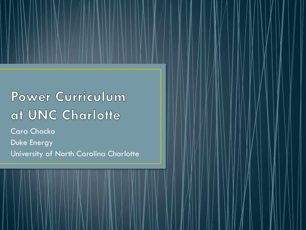# Power Curriculum at UNC Charlotte

Cara Chacko Duke Energy University of North Carolina Charlotte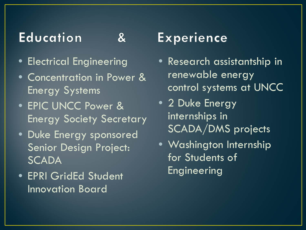### **Education**

### $\mathbf{g}$

- Electrical Engineering
- Concentration in Power & Energy Systems
- EPIC UNCC Power & Energy Society Secretary
- Duke Energy sponsored Senior Design Project: **SCADA**
- EPRI GridEd Student Innovation Board

## **Experience**

- Research assistantship in renewable energy control systems at UNCC
- 2 Duke Energy internships in SCADA/DMS projects
- Washington Internship for Students of Engineering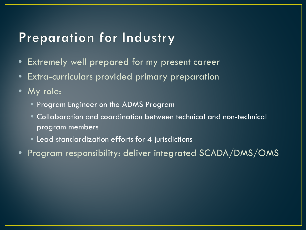#### Preparation for Industry

- Extremely well prepared for my present career
- Extra-curriculars provided primary preparation
- My role:
	- Program Engineer on the ADMS Program
	- Collaboration and coordination between technical and non-technical program members
	- Lead standardization efforts for 4 jurisdictions
- Program responsibility: deliver integrated SCADA/DMS/OMS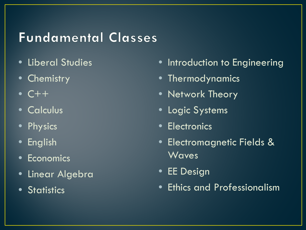## **Fundamental Classes**

- Liberal Studies
- Chemistry
- $\bullet$  C++
- Calculus
- Physics
- English
- Economics
- Linear Algebra
- Statistics
- **Introduction to Engineering**
- Thermodynamics
- Network Theory
- **Logic Systems**
- Electronics
- Electromagnetic Fields & Waves
- EE Design
- Ethics and Professionalism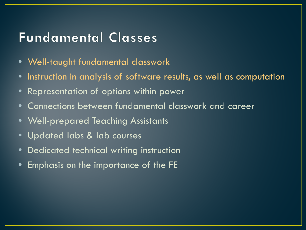#### **Fundamental Classes**

- Well-taught fundamental classwork
- Instruction in analysis of software results, as well as computation
- Representation of options within power
- Connections between fundamental classwork and career
- Well-prepared Teaching Assistants
- Updated labs & lab courses
- Dedicated technical writing instruction
- Emphasis on the importance of the FE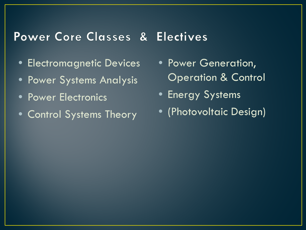#### Power Core Classes & Electives

- Electromagnetic Devices
- Power Systems Analysis
- Power Electronics
- Control Systems Theory
- Power Generation, Operation & Control
- Energy Systems
- (Photovoltaic Design)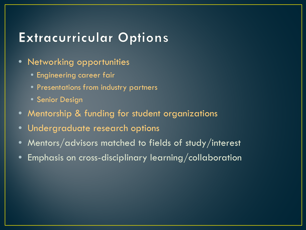#### **Extracurricular Options**

- **Networking opportunities** 
	- Engineering career fair
	- Presentations from industry partners
	- Senior Design
- Mentorship & funding for student organizations
- Undergraduate research options
- Mentors/advisors matched to fields of study/interest
- Emphasis on cross-disciplinary learning/collaboration